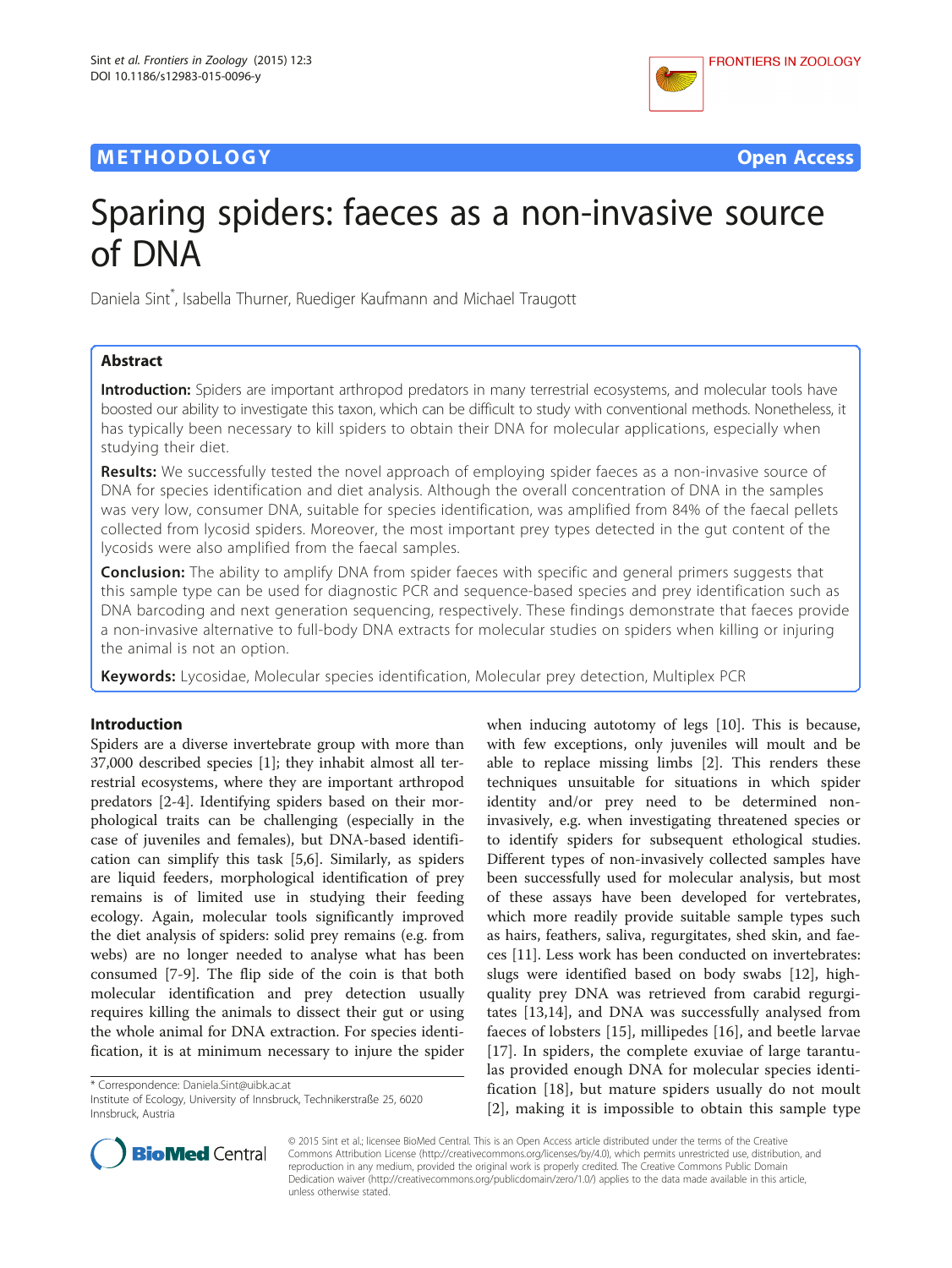## **METHODOLOGY CONSUMING ACCESS**



# Sparing spiders: faeces as a non-invasive source of DNA

Daniela Sint\* , Isabella Thurner, Ruediger Kaufmann and Michael Traugott

## Abstract

Introduction: Spiders are important arthropod predators in many terrestrial ecosystems, and molecular tools have boosted our ability to investigate this taxon, which can be difficult to study with conventional methods. Nonetheless, it has typically been necessary to kill spiders to obtain their DNA for molecular applications, especially when studying their diet.

**Results:** We successfully tested the novel approach of employing spider faeces as a non-invasive source of DNA for species identification and diet analysis. Although the overall concentration of DNA in the samples was very low, consumer DNA, suitable for species identification, was amplified from 84% of the faecal pellets collected from lycosid spiders. Moreover, the most important prey types detected in the gut content of the lycosids were also amplified from the faecal samples.

**Conclusion:** The ability to amplify DNA from spider faeces with specific and general primers suggests that this sample type can be used for diagnostic PCR and sequence-based species and prey identification such as DNA barcoding and next generation sequencing, respectively. These findings demonstrate that faeces provide a non-invasive alternative to full-body DNA extracts for molecular studies on spiders when killing or injuring the animal is not an option.

Keywords: Lycosidae, Molecular species identification, Molecular prey detection, Multiplex PCR

## Introduction

Spiders are a diverse invertebrate group with more than 37,000 described species [[1\]](#page-4-0); they inhabit almost all terrestrial ecosystems, where they are important arthropod predators [\[2](#page-4-0)-[4\]](#page-4-0). Identifying spiders based on their morphological traits can be challenging (especially in the case of juveniles and females), but DNA-based identification can simplify this task [[5,6\]](#page-4-0). Similarly, as spiders are liquid feeders, morphological identification of prey remains is of limited use in studying their feeding ecology. Again, molecular tools significantly improved the diet analysis of spiders: solid prey remains (e.g. from webs) are no longer needed to analyse what has been consumed [\[7](#page-4-0)-[9\]](#page-4-0). The flip side of the coin is that both molecular identification and prey detection usually requires killing the animals to dissect their gut or using the whole animal for DNA extraction. For species identification, it is at minimum necessary to injure the spider

\* Correspondence: [Daniela.Sint@uibk.ac.at](mailto:Daniela.Sint@uibk.ac.at)

Institute of Ecology, University of Innsbruck, Technikerstraße 25, 6020 Innsbruck, Austria





© 2015 Sint et al.; licensee BioMed Central. This is an Open Access article distributed under the terms of the Creative Commons Attribution License [\(http://creativecommons.org/licenses/by/4.0\)](http://creativecommons.org/licenses/by/4.0), which permits unrestricted use, distribution, and reproduction in any medium, provided the original work is properly credited. The Creative Commons Public Domain Dedication waiver [\(http://creativecommons.org/publicdomain/zero/1.0/](http://creativecommons.org/publicdomain/zero/1.0/)) applies to the data made available in this article, unless otherwise stated.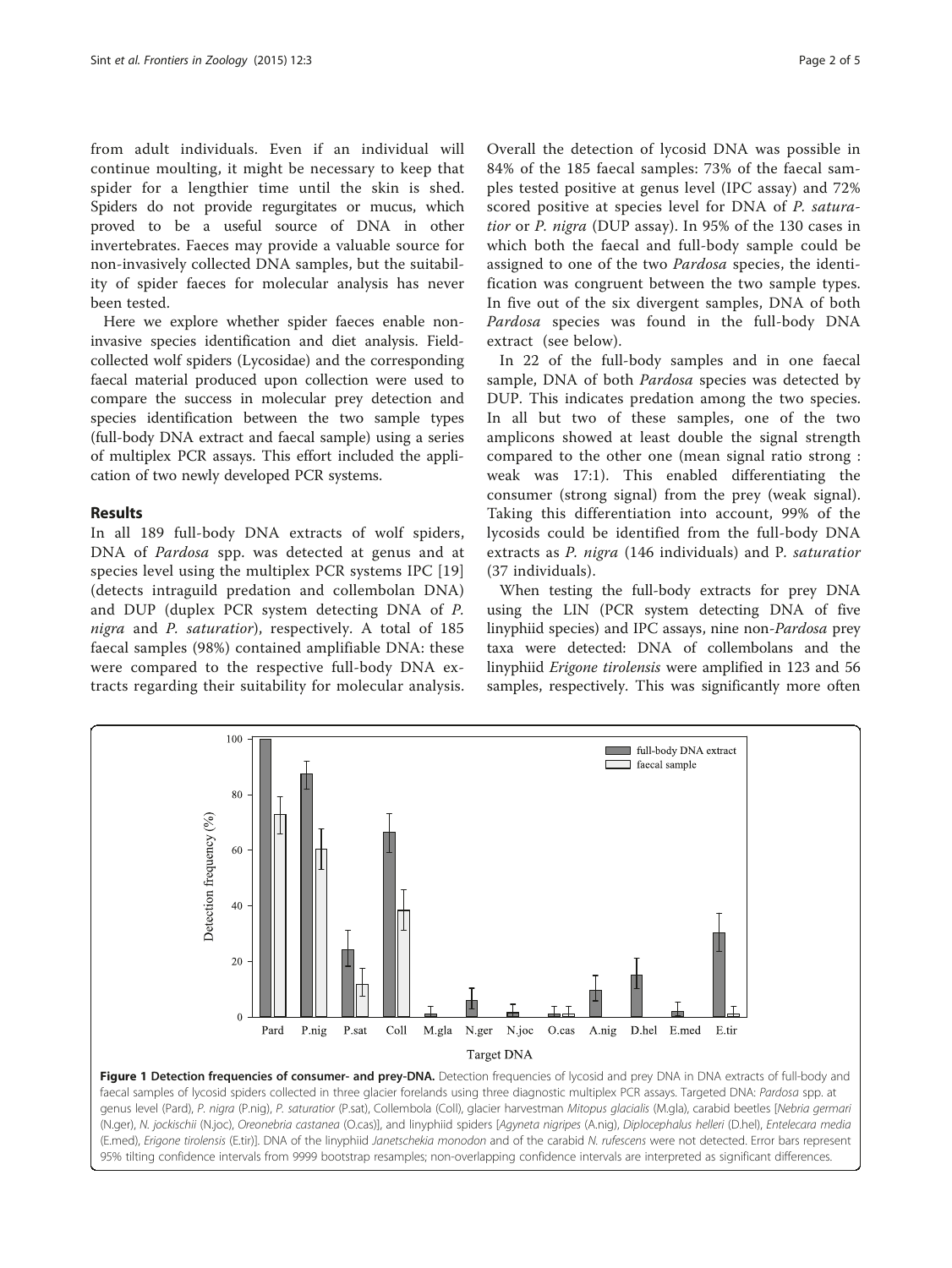<span id="page-1-0"></span>from adult individuals. Even if an individual will continue moulting, it might be necessary to keep that spider for a lengthier time until the skin is shed. Spiders do not provide regurgitates or mucus, which proved to be a useful source of DNA in other invertebrates. Faeces may provide a valuable source for non-invasively collected DNA samples, but the suitability of spider faeces for molecular analysis has never been tested.

Here we explore whether spider faeces enable noninvasive species identification and diet analysis. Fieldcollected wolf spiders (Lycosidae) and the corresponding faecal material produced upon collection were used to compare the success in molecular prey detection and species identification between the two sample types (full-body DNA extract and faecal sample) using a series of multiplex PCR assays. This effort included the application of two newly developed PCR systems.

#### Results

In all 189 full-body DNA extracts of wolf spiders, DNA of Pardosa spp. was detected at genus and at species level using the multiplex PCR systems IPC [\[19](#page-4-0)] (detects intraguild predation and collembolan DNA) and DUP (duplex PCR system detecting DNA of P. nigra and P. saturatior), respectively. A total of 185 faecal samples (98%) contained amplifiable DNA: these were compared to the respective full-body DNA extracts regarding their suitability for molecular analysis.

Overall the detection of lycosid DNA was possible in 84% of the 185 faecal samples: 73% of the faecal samples tested positive at genus level (IPC assay) and 72% scored positive at species level for DNA of P. saturatior or P. nigra (DUP assay). In 95% of the 130 cases in which both the faecal and full-body sample could be assigned to one of the two *Pardosa* species, the identification was congruent between the two sample types. In five out of the six divergent samples, DNA of both Pardosa species was found in the full-body DNA extract (see below).

In 22 of the full-body samples and in one faecal sample, DNA of both *Pardosa* species was detected by DUP. This indicates predation among the two species. In all but two of these samples, one of the two amplicons showed at least double the signal strength compared to the other one (mean signal ratio strong : weak was 17:1). This enabled differentiating the consumer (strong signal) from the prey (weak signal). Taking this differentiation into account, 99% of the lycosids could be identified from the full-body DNA extracts as P. nigra (146 individuals) and P. saturatior (37 individuals).

When testing the full-body extracts for prey DNA using the LIN (PCR system detecting DNA of five linyphiid species) and IPC assays, nine non-Pardosa prey taxa were detected: DNA of collembolans and the linyphiid Erigone tirolensis were amplified in 123 and 56 samples, respectively. This was significantly more often



faecal samples of lycosid spiders collected in three glacier forelands using three diagnostic multiplex PCR assays. Targeted DNA: Pardosa spp. at genus level (Pard), P. nigra (P.nig), P. saturatior (P.sat), Collembola (Coll), glacier harvestman Mitopus glacialis (M.gla), carabid beetles [Nebria germari (N.ger), N. jockischii (N.joc), Oreonebria castanea (O.cas)], and linyphiid spiders [Agyneta nigripes (A.nig), Diplocephalus helleri (D.hel), Entelecara media (E.med), Erigone tirolensis (E.tir)]. DNA of the linyphiid Janetschekia monodon and of the carabid N. rufescens were not detected. Error bars represent 95% tilting confidence intervals from 9999 bootstrap resamples; non-overlapping confidence intervals are interpreted as significant differences.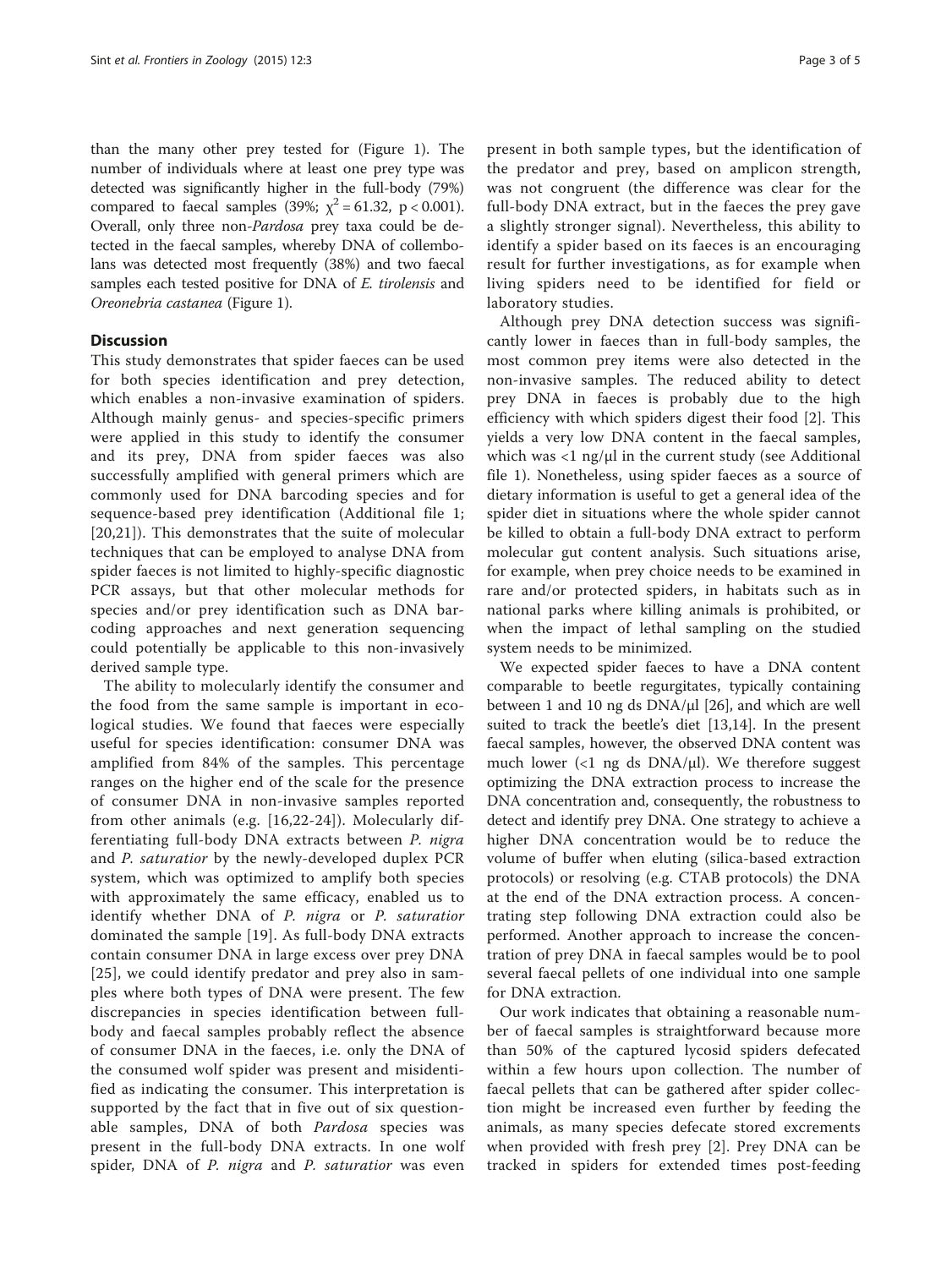than the many other prey tested for (Figure [1\)](#page-1-0). The number of individuals where at least one prey type was detected was significantly higher in the full-body (79%) compared to faecal samples (39%;  $\chi^2$  = 61.32, p < 0.001). Overall, only three non-Pardosa prey taxa could be detected in the faecal samples, whereby DNA of collembolans was detected most frequently (38%) and two faecal samples each tested positive for DNA of E. tirolensis and Oreonebria castanea (Figure [1\)](#page-1-0).

#### **Discussion**

This study demonstrates that spider faeces can be used for both species identification and prey detection, which enables a non-invasive examination of spiders. Although mainly genus- and species-specific primers were applied in this study to identify the consumer and its prey, DNA from spider faeces was also successfully amplified with general primers which are commonly used for DNA barcoding species and for sequence-based prey identification (Additional file [1](#page-4-0); [[20,21\]](#page-4-0)). This demonstrates that the suite of molecular techniques that can be employed to analyse DNA from spider faeces is not limited to highly-specific diagnostic PCR assays, but that other molecular methods for species and/or prey identification such as DNA barcoding approaches and next generation sequencing could potentially be applicable to this non-invasively derived sample type.

The ability to molecularly identify the consumer and the food from the same sample is important in ecological studies. We found that faeces were especially useful for species identification: consumer DNA was amplified from 84% of the samples. This percentage ranges on the higher end of the scale for the presence of consumer DNA in non-invasive samples reported from other animals (e.g. [[16,22-24](#page-4-0)]). Molecularly differentiating full-body DNA extracts between P. nigra and P. saturatior by the newly-developed duplex PCR system, which was optimized to amplify both species with approximately the same efficacy, enabled us to identify whether DNA of P. nigra or P. saturatior dominated the sample [[19\]](#page-4-0). As full-body DNA extracts contain consumer DNA in large excess over prey DNA [[25](#page-4-0)], we could identify predator and prey also in samples where both types of DNA were present. The few discrepancies in species identification between fullbody and faecal samples probably reflect the absence of consumer DNA in the faeces, i.e. only the DNA of the consumed wolf spider was present and misidentified as indicating the consumer. This interpretation is supported by the fact that in five out of six questionable samples, DNA of both Pardosa species was present in the full-body DNA extracts. In one wolf spider, DNA of *P. nigra* and *P. saturatior* was even

present in both sample types, but the identification of the predator and prey, based on amplicon strength, was not congruent (the difference was clear for the full-body DNA extract, but in the faeces the prey gave a slightly stronger signal). Nevertheless, this ability to identify a spider based on its faeces is an encouraging result for further investigations, as for example when living spiders need to be identified for field or laboratory studies.

Although prey DNA detection success was significantly lower in faeces than in full-body samples, the most common prey items were also detected in the non-invasive samples. The reduced ability to detect prey DNA in faeces is probably due to the high efficiency with which spiders digest their food [\[2](#page-4-0)]. This yields a very low DNA content in the faecal samples, which was  $\langle 1 \rangle$  ng/ $\mu$ l in the current study (see Additional file [1](#page-4-0)). Nonetheless, using spider faeces as a source of dietary information is useful to get a general idea of the spider diet in situations where the whole spider cannot be killed to obtain a full-body DNA extract to perform molecular gut content analysis. Such situations arise, for example, when prey choice needs to be examined in rare and/or protected spiders, in habitats such as in national parks where killing animals is prohibited, or when the impact of lethal sampling on the studied system needs to be minimized.

We expected spider faeces to have a DNA content comparable to beetle regurgitates, typically containing between 1 and 10 ng ds DNA/μl [[26](#page-4-0)], and which are well suited to track the beetle's diet [\[13,14\]](#page-4-0). In the present faecal samples, however, the observed DNA content was much lower (<1 ng ds  $DNA/µ$ ). We therefore suggest optimizing the DNA extraction process to increase the DNA concentration and, consequently, the robustness to detect and identify prey DNA. One strategy to achieve a higher DNA concentration would be to reduce the volume of buffer when eluting (silica-based extraction protocols) or resolving (e.g. CTAB protocols) the DNA at the end of the DNA extraction process. A concentrating step following DNA extraction could also be performed. Another approach to increase the concentration of prey DNA in faecal samples would be to pool several faecal pellets of one individual into one sample for DNA extraction.

Our work indicates that obtaining a reasonable number of faecal samples is straightforward because more than 50% of the captured lycosid spiders defecated within a few hours upon collection. The number of faecal pellets that can be gathered after spider collection might be increased even further by feeding the animals, as many species defecate stored excrements when provided with fresh prey [\[2](#page-4-0)]. Prey DNA can be tracked in spiders for extended times post-feeding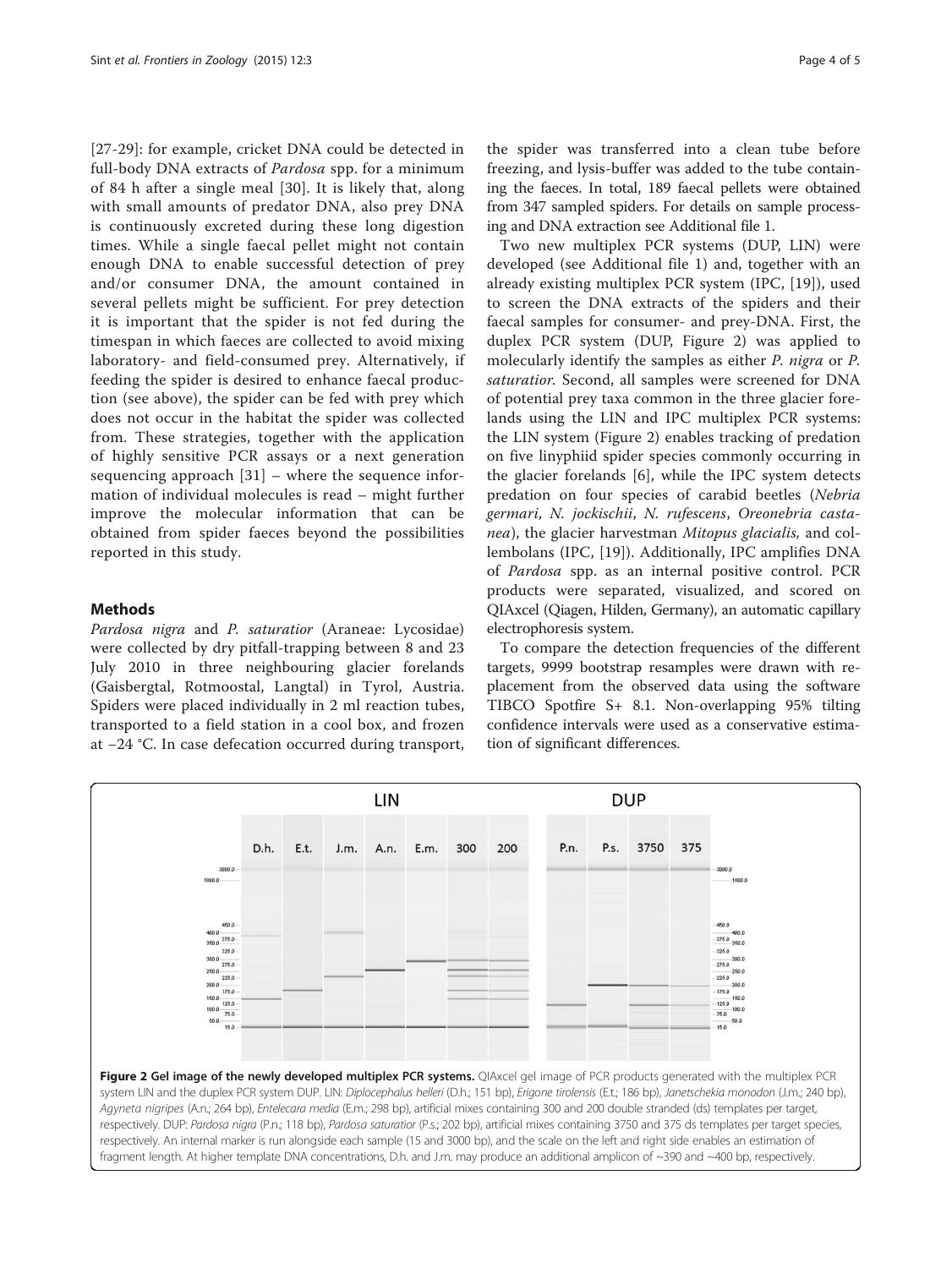[[27](#page-4-0)-[29\]](#page-4-0): for example, cricket DNA could be detected in full-body DNA extracts of Pardosa spp. for a minimum of 84 h after a single meal [\[30\]](#page-4-0). It is likely that, along with small amounts of predator DNA, also prey DNA is continuously excreted during these long digestion times. While a single faecal pellet might not contain enough DNA to enable successful detection of prey and/or consumer DNA, the amount contained in several pellets might be sufficient. For prey detection it is important that the spider is not fed during the timespan in which faeces are collected to avoid mixing laboratory- and field-consumed prey. Alternatively, if feeding the spider is desired to enhance faecal production (see above), the spider can be fed with prey which does not occur in the habitat the spider was collected from. These strategies, together with the application of highly sensitive PCR assays or a next generation sequencing approach [[31](#page-4-0)] – where the sequence information of individual molecules is read – might further improve the molecular information that can be obtained from spider faeces beyond the possibilities reported in this study.

## Methods

Pardosa nigra and P. saturatior (Araneae: Lycosidae) were collected by dry pitfall-trapping between 8 and 23 July 2010 in three neighbouring glacier forelands (Gaisbergtal, Rotmoostal, Langtal) in Tyrol, Austria. Spiders were placed individually in 2 ml reaction tubes, transported to a field station in a cool box, and frozen at −24 °C. In case defecation occurred during transport, the spider was transferred into a clean tube before freezing, and lysis-buffer was added to the tube containing the faeces. In total, 189 faecal pellets were obtained from 347 sampled spiders. For details on sample processing and DNA extraction see Additional file [1](#page-4-0).

Two new multiplex PCR systems (DUP, LIN) were developed (see Additional file [1\)](#page-4-0) and, together with an already existing multiplex PCR system (IPC, [[19\]](#page-4-0)), used to screen the DNA extracts of the spiders and their faecal samples for consumer- and prey-DNA. First, the duplex PCR system (DUP, Figure 2) was applied to molecularly identify the samples as either *P. nigra* or *P.* saturatior. Second, all samples were screened for DNA of potential prey taxa common in the three glacier forelands using the LIN and IPC multiplex PCR systems: the LIN system (Figure 2) enables tracking of predation on five linyphiid spider species commonly occurring in the glacier forelands [[6](#page-4-0)], while the IPC system detects predation on four species of carabid beetles (Nebria germari, N. jockischii, N. rufescens, Oreonebria castanea), the glacier harvestman Mitopus glacialis, and collembolans (IPC, [\[19](#page-4-0)]). Additionally, IPC amplifies DNA of Pardosa spp. as an internal positive control. PCR products were separated, visualized, and scored on QIAxcel (Qiagen, Hilden, Germany), an automatic capillary electrophoresis system.

To compare the detection frequencies of the different targets, 9999 bootstrap resamples were drawn with replacement from the observed data using the software TIBCO Spotfire S+ 8.1. Non-overlapping 95% tilting confidence intervals were used as a conservative estimation of significant differences.



Agyneta nigripes (A.n.; 264 bp), Entelecara media (E.m.; 298 bp), artificial mixes containing 300 and 200 double stranded (ds) templates per target, respectively. DUP: Pardosa nigra (P.n.; 118 bp), Pardosa saturatior (P.s.; 202 bp), artificial mixes containing 3750 and 375 ds templates per target species, respectively. An internal marker is run alongside each sample (15 and 3000 bp), and the scale on the left and right side enables an estimation of fragment length. At higher template DNA concentrations, D.h. and J.m. may produce an additional amplicon of ~390 and ~400 bp, respectively.